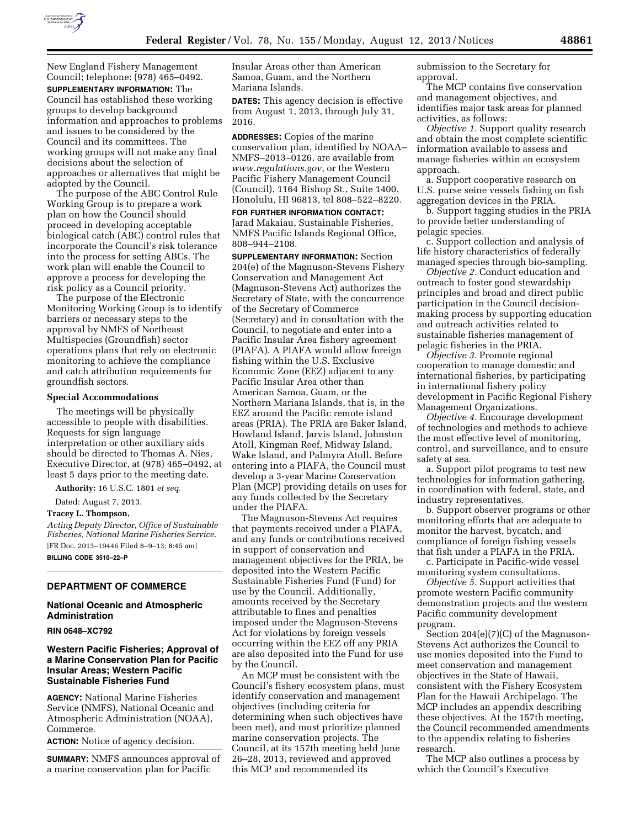

New England Fishery Management Council; telephone: (978) 465–0492. **SUPPLEMENTARY INFORMATION:** The Council has established these working groups to develop background information and approaches to problems and issues to be considered by the Council and its committees. The working groups will not make any final decisions about the selection of approaches or alternatives that might be adopted by the Council.

The purpose of the ABC Control Rule Working Group is to prepare a work plan on how the Council should proceed in developing acceptable biological catch (ABC) control rules that incorporate the Council's risk tolerance into the process for setting ABCs. The work plan will enable the Council to approve a process for developing the risk policy as a Council priority.

The purpose of the Electronic Monitoring Working Group is to identify barriers or necessary steps to the approval by NMFS of Northeast Multispecies (Groundfish) sector operations plans that rely on electronic monitoring to achieve the compliance and catch attribution requirements for groundfish sectors.

### **Special Accommodations**

The meetings will be physically accessible to people with disabilities. Requests for sign language interpretation or other auxiliary aids should be directed to Thomas A. Nies, Executive Director, at (978) 465–0492, at least 5 days prior to the meeting date.

**Authority:** 16 U.S.C. 1801 *et seq.* 

Dated: August 7, 2013.

# **Tracey L. Thompson,**

*Acting Deputy Director, Office of Sustainable Fisheries, National Marine Fisheries Service.*  [FR Doc. 2013–19446 Filed 8–9–13; 8:45 am] **BILLING CODE 3510–22–P** 

# **DEPARTMENT OF COMMERCE**

### **National Oceanic and Atmospheric Administration**

**RIN 0648–XC792** 

# **Western Pacific Fisheries; Approval of a Marine Conservation Plan for Pacific Insular Areas; Western Pacific Sustainable Fisheries Fund**

**AGENCY:** National Marine Fisheries Service (NMFS), National Oceanic and Atmospheric Administration (NOAA), Commerce.

**ACTION:** Notice of agency decision.

**SUMMARY:** NMFS announces approval of a marine conservation plan for Pacific

Insular Areas other than American Samoa, Guam, and the Northern Mariana Islands.

**DATES:** This agency decision is effective from August 1, 2013, through July 31, 2016.

**ADDRESSES:** Copies of the marine conservation plan, identified by NOAA– NMFS–2013–0126, are available from *[www.regulations.gov](http://www.regulations.gov)*, or the Western Pacific Fishery Management Council (Council), 1164 Bishop St., Suite 1400, Honolulu, HI 96813, tel 808–522–8220.

**FOR FURTHER INFORMATION CONTACT:**  Jarad Makaiau, Sustainable Fisheries, NMFS Pacific Islands Regional Office, 808–944–2108.

**SUPPLEMENTARY INFORMATION:** Section 204(e) of the Magnuson-Stevens Fishery Conservation and Management Act (Magnuson-Stevens Act) authorizes the Secretary of State, with the concurrence of the Secretary of Commerce (Secretary) and in consultation with the Council, to negotiate and enter into a Pacific Insular Area fishery agreement (PIAFA). A PIAFA would allow foreign fishing within the U.S. Exclusive Economic Zone (EEZ) adjacent to any Pacific Insular Area other than American Samoa, Guam, or the Northern Mariana Islands, that is, in the EEZ around the Pacific remote island areas (PRIA). The PRIA are Baker Island, Howland Island, Jarvis Island, Johnston Atoll, Kingman Reef, Midway Island, Wake Island, and Palmyra Atoll. Before entering into a PIAFA, the Council must develop a 3-year Marine Conservation Plan (MCP) providing details on uses for any funds collected by the Secretary under the PIAFA.

The Magnuson-Stevens Act requires that payments received under a PIAFA, and any funds or contributions received in support of conservation and management objectives for the PRIA, be deposited into the Western Pacific Sustainable Fisheries Fund (Fund) for use by the Council. Additionally, amounts received by the Secretary attributable to fines and penalties imposed under the Magnuson-Stevens Act for violations by foreign vessels occurring within the EEZ off any PRIA are also deposited into the Fund for use by the Council.

An MCP must be consistent with the Council's fishery ecosystem plans, must identify conservation and management objectives (including criteria for determining when such objectives have been met), and must prioritize planned marine conservation projects. The Council, at its 157th meeting held June 26–28, 2013, reviewed and approved this MCP and recommended its

submission to the Secretary for approval.

The MCP contains five conservation and management objectives, and identifies major task areas for planned activities, as follows:

*Objective 1.* Support quality research and obtain the most complete scientific information available to assess and manage fisheries within an ecosystem approach.

a. Support cooperative research on U.S. purse seine vessels fishing on fish aggregation devices in the PRIA.

b. Support tagging studies in the PRIA to provide better understanding of pelagic species.

c. Support collection and analysis of life history characteristics of federally managed species through bio-sampling.

*Objective 2.* Conduct education and outreach to foster good stewardship principles and broad and direct public participation in the Council decisionmaking process by supporting education and outreach activities related to sustainable fisheries management of pelagic fisheries in the PRIA.

*Objective 3.* Promote regional cooperation to manage domestic and international fisheries, by participating in international fishery policy development in Pacific Regional Fishery Management Organizations.

*Objective 4.* Encourage development of technologies and methods to achieve the most effective level of monitoring, control, and surveillance, and to ensure safety at sea.

a. Support pilot programs to test new technologies for information gathering, in coordination with federal, state, and industry representatives.

b. Support observer programs or other monitoring efforts that are adequate to monitor the harvest, bycatch, and compliance of foreign fishing vessels that fish under a PIAFA in the PRIA.

c. Participate in Pacific-wide vessel monitoring system consultations.

*Objective 5.* Support activities that promote western Pacific community demonstration projects and the western Pacific community development program.

Section 204(e)(7)(C) of the Magnuson-Stevens Act authorizes the Council to use monies deposited into the Fund to meet conservation and management objectives in the State of Hawaii, consistent with the Fishery Ecosystem Plan for the Hawaii Archipelago. The MCP includes an appendix describing these objectives. At the 157th meeting, the Council recommended amendments to the appendix relating to fisheries research.

The MCP also outlines a process by which the Council's Executive